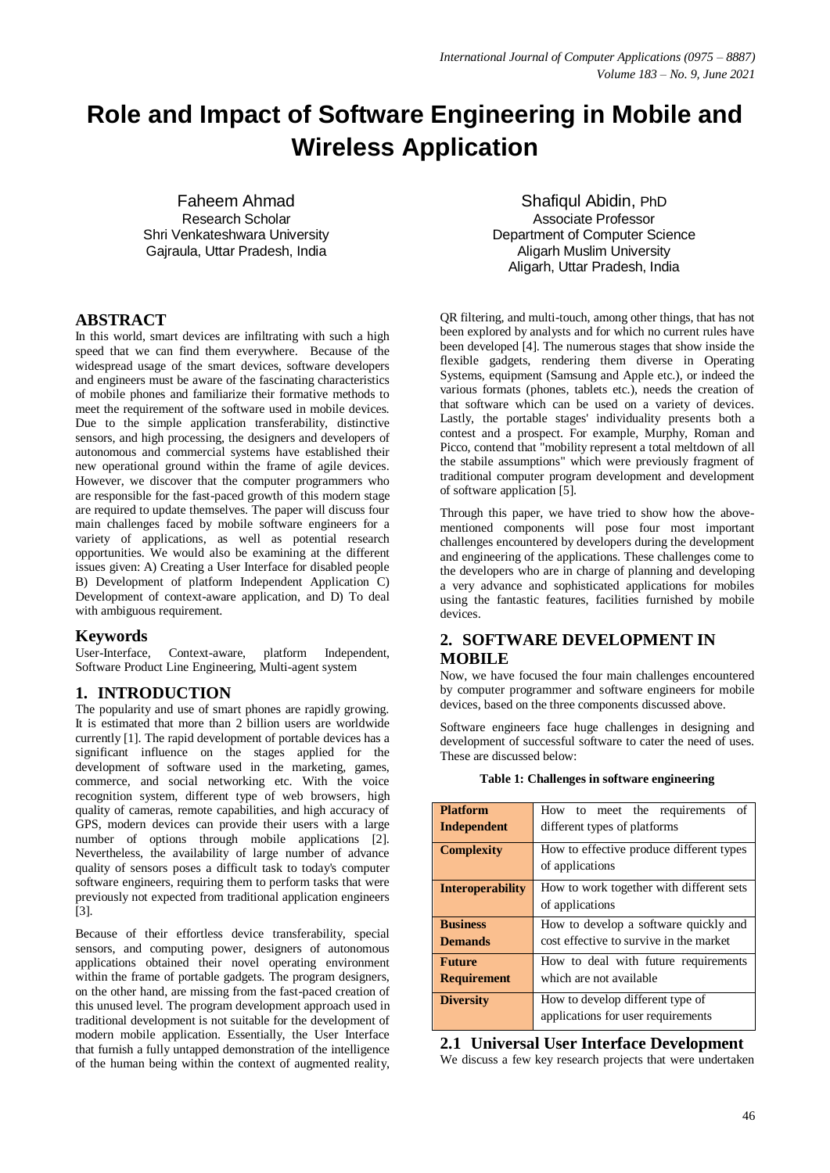# **Role and Impact of Software Engineering in Mobile and Wireless Application**

Faheem Ahmad Research Scholar Shri Venkateshwara University Gajraula, Uttar Pradesh, India

#### **ABSTRACT**

In this world, smart devices are infiltrating with such a high speed that we can find them everywhere. Because of the widespread usage of the smart devices, software developers and engineers must be aware of the fascinating characteristics of mobile phones and familiarize their formative methods to meet the requirement of the software used in mobile devices. Due to the simple application transferability, distinctive sensors, and high processing, the designers and developers of autonomous and commercial systems have established their new operational ground within the frame of agile devices. However, we discover that the computer programmers who are responsible for the fast-paced growth of this modern stage are required to update themselves. The paper will discuss four main challenges faced by mobile software engineers for a variety of applications, as well as potential research opportunities. We would also be examining at the different issues given: A) Creating a User Interface for disabled people B) Development of platform Independent Application C) Development of context-aware application, and D) To deal with ambiguous requirement.

#### **Keywords**

User-Interface, Context-aware, platform Independent, Software Product Line Engineering, Multi-agent system

## **1. INTRODUCTION**

The popularity and use of smart phones are rapidly growing. It is estimated that more than 2 billion users are worldwide currently [1]. The rapid development of portable devices has a significant influence on the stages applied for the development of software used in the marketing, games, commerce, and social networking etc. With the voice recognition system, different type of web browsers, high quality of cameras, remote capabilities, and high accuracy of GPS, modern devices can provide their users with a large number of options through mobile applications [2]. Nevertheless, the availability of large number of advance quality of sensors poses a difficult task to today's computer software engineers, requiring them to perform tasks that were previously not expected from traditional application engineers [3].

Because of their effortless device transferability, special sensors, and computing power, designers of autonomous applications obtained their novel operating environment within the frame of portable gadgets. The program designers, on the other hand, are missing from the fast-paced creation of this unused level. The program development approach used in traditional development is not suitable for the development of modern mobile application. Essentially, the User Interface that furnish a fully untapped demonstration of the intelligence of the human being within the context of augmented reality,

Shafiqul Abidin, PhD Associate Professor Department of Computer Science Aligarh Muslim University Aligarh, Uttar Pradesh, India

QR filtering, and multi-touch, among other things, that has not been explored by analysts and for which no current rules have been developed [4]. The numerous stages that show inside the flexible gadgets, rendering them diverse in Operating Systems, equipment (Samsung and Apple etc.), or indeed the various formats (phones, tablets etc.), needs the creation of that software which can be used on a variety of devices. Lastly, the portable stages' individuality presents both a contest and a prospect. For example, Murphy, Roman and Picco, contend that "mobility represent a total meltdown of all the stabile assumptions" which were previously fragment of traditional computer program development and development of software application [5].

Through this paper, we have tried to show how the abovementioned components will pose four most important challenges encountered by developers during the development and engineering of the applications. These challenges come to the developers who are in charge of planning and developing a very advance and sophisticated applications for mobiles using the fantastic features, facilities furnished by mobile devices.

## **2. SOFTWARE DEVELOPMENT IN MOBILE**

Now, we have focused the four main challenges encountered by computer programmer and software engineers for mobile devices, based on the three components discussed above.

Software engineers face huge challenges in designing and development of successful software to cater the need of uses. These are discussed below:

| <b>Platform</b><br>Independent      | How to meet the requirements<br>of<br>different types of platforms               |
|-------------------------------------|----------------------------------------------------------------------------------|
| <b>Complexity</b>                   | How to effective produce different types<br>of applications                      |
| <b>Interoperability</b>             | How to work together with different sets<br>of applications                      |
| <b>Business</b><br><b>Demands</b>   | How to develop a software quickly and<br>cost effective to survive in the market |
| <b>Future</b><br><b>Requirement</b> | How to deal with future requirements<br>which are not available                  |
| <b>Diversity</b>                    | How to develop different type of<br>applications for user requirements           |

#### **Table 1: Challenges in software engineering**

## **2.1 Universal User Interface Development**

We discuss a few key research projects that were undertaken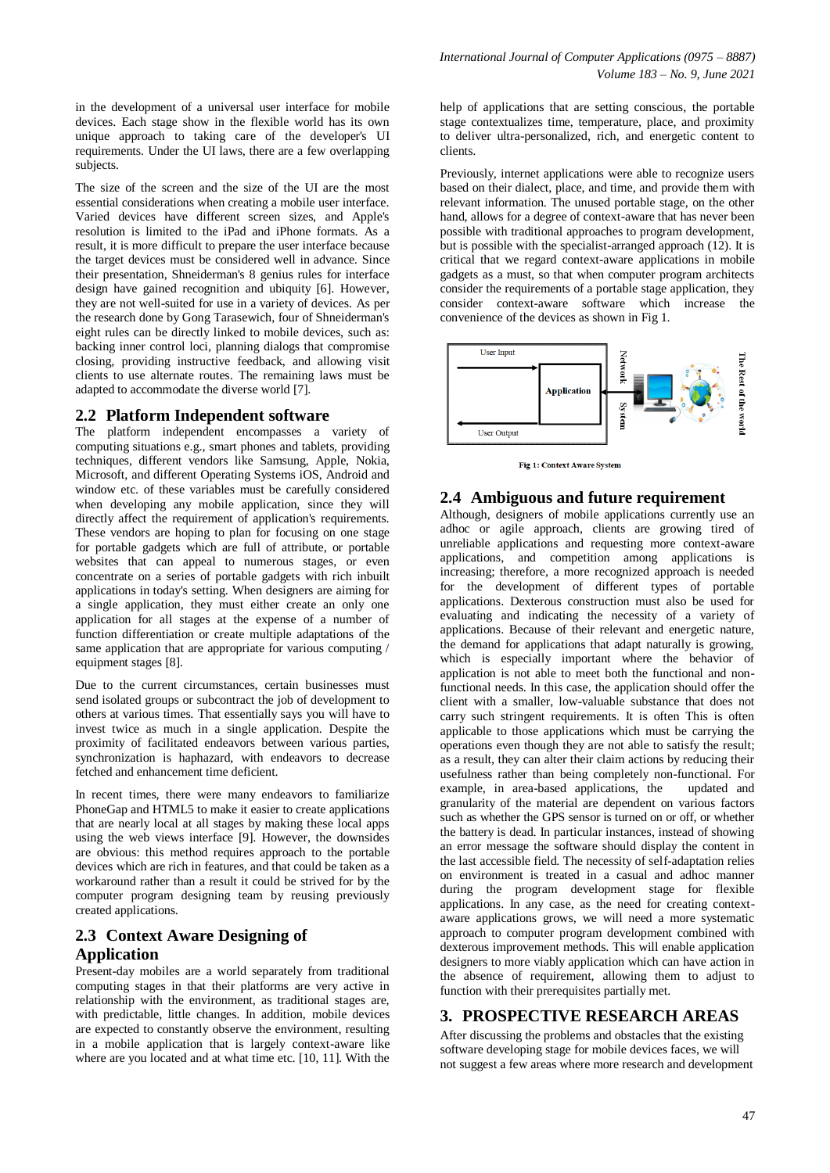in the development of a universal user interface for mobile devices. Each stage show in the flexible world has its own unique approach to taking care of the developer's UI requirements. Under the UI laws, there are a few overlapping subjects.

The size of the screen and the size of the UI are the most essential considerations when creating a mobile user interface. Varied devices have different screen sizes, and Apple's resolution is limited to the iPad and iPhone formats. As a result, it is more difficult to prepare the user interface because the target devices must be considered well in advance. Since their presentation, Shneiderman's 8 genius rules for interface design have gained recognition and ubiquity [6]. However, they are not well-suited for use in a variety of devices. As per the research done by Gong Tarasewich, four of Shneiderman's eight rules can be directly linked to mobile devices, such as: backing inner control loci, planning dialogs that compromise closing, providing instructive feedback, and allowing visit clients to use alternate routes. The remaining laws must be adapted to accommodate the diverse world [7].

#### **2.2 Platform Independent software**

The platform independent encompasses a variety of computing situations e.g., smart phones and tablets, providing techniques, different vendors like Samsung, Apple, Nokia, Microsoft, and different Operating Systems iOS, Android and window etc. of these variables must be carefully considered when developing any mobile application, since they will directly affect the requirement of application's requirements. These vendors are hoping to plan for focusing on one stage for portable gadgets which are full of attribute, or portable websites that can appeal to numerous stages, or even concentrate on a series of portable gadgets with rich inbuilt applications in today's setting. When designers are aiming for a single application, they must either create an only one application for all stages at the expense of a number of function differentiation or create multiple adaptations of the same application that are appropriate for various computing / equipment stages [8].

Due to the current circumstances, certain businesses must send isolated groups or subcontract the job of development to others at various times. That essentially says you will have to invest twice as much in a single application. Despite the proximity of facilitated endeavors between various parties, synchronization is haphazard, with endeavors to decrease fetched and enhancement time deficient.

In recent times, there were many endeavors to familiarize PhoneGap and HTML5 to make it easier to create applications that are nearly local at all stages by making these local apps using the web views interface [9]. However, the downsides are obvious: this method requires approach to the portable devices which are rich in features, and that could be taken as a workaround rather than a result it could be strived for by the computer program designing team by reusing previously created applications.

## **2.3 Context Aware Designing of Application**

Present-day mobiles are a world separately from traditional computing stages in that their platforms are very active in relationship with the environment, as traditional stages are, with predictable, little changes. In addition, mobile devices are expected to constantly observe the environment, resulting in a mobile application that is largely context-aware like where are you located and at what time etc. [10, 11]. With the

help of applications that are setting conscious, the portable stage contextualizes time, temperature, place, and proximity to deliver ultra-personalized, rich, and energetic content to clients.

Previously, internet applications were able to recognize users based on their dialect, place, and time, and provide them with relevant information. The unused portable stage, on the other hand, allows for a degree of context-aware that has never been possible with traditional approaches to program development, but is possible with the specialist-arranged approach (12). It is critical that we regard context-aware applications in mobile gadgets as a must, so that when computer program architects consider the requirements of a portable stage application, they consider context-aware software which increase the convenience of the devices as shown in Fig 1.



Fig 1: Context Aware System

#### **2.4 Ambiguous and future requirement**

Although, designers of mobile applications currently use an adhoc or agile approach, clients are growing tired of unreliable applications and requesting more context-aware applications, and competition among applications is increasing; therefore, a more recognized approach is needed for the development of different types of portable applications. Dexterous construction must also be used for evaluating and indicating the necessity of a variety of applications. Because of their relevant and energetic nature, the demand for applications that adapt naturally is growing, which is especially important where the behavior of application is not able to meet both the functional and nonfunctional needs. In this case, the application should offer the client with a smaller, low-valuable substance that does not carry such stringent requirements. It is often This is often applicable to those applications which must be carrying the operations even though they are not able to satisfy the result; as a result, they can alter their claim actions by reducing their usefulness rather than being completely non-functional. For example, in area-based applications, the updated and granularity of the material are dependent on various factors such as whether the GPS sensor is turned on or off, or whether the battery is dead. In particular instances, instead of showing an error message the software should display the content in the last accessible field. The necessity of self-adaptation relies on environment is treated in a casual and adhoc manner during the program development stage for flexible applications. In any case, as the need for creating contextaware applications grows, we will need a more systematic approach to computer program development combined with dexterous improvement methods. This will enable application designers to more viably application which can have action in the absence of requirement, allowing them to adjust to function with their prerequisites partially met.

#### **3. PROSPECTIVE RESEARCH AREAS**

After discussing the problems and obstacles that the existing software developing stage for mobile devices faces, we will not suggest a few areas where more research and development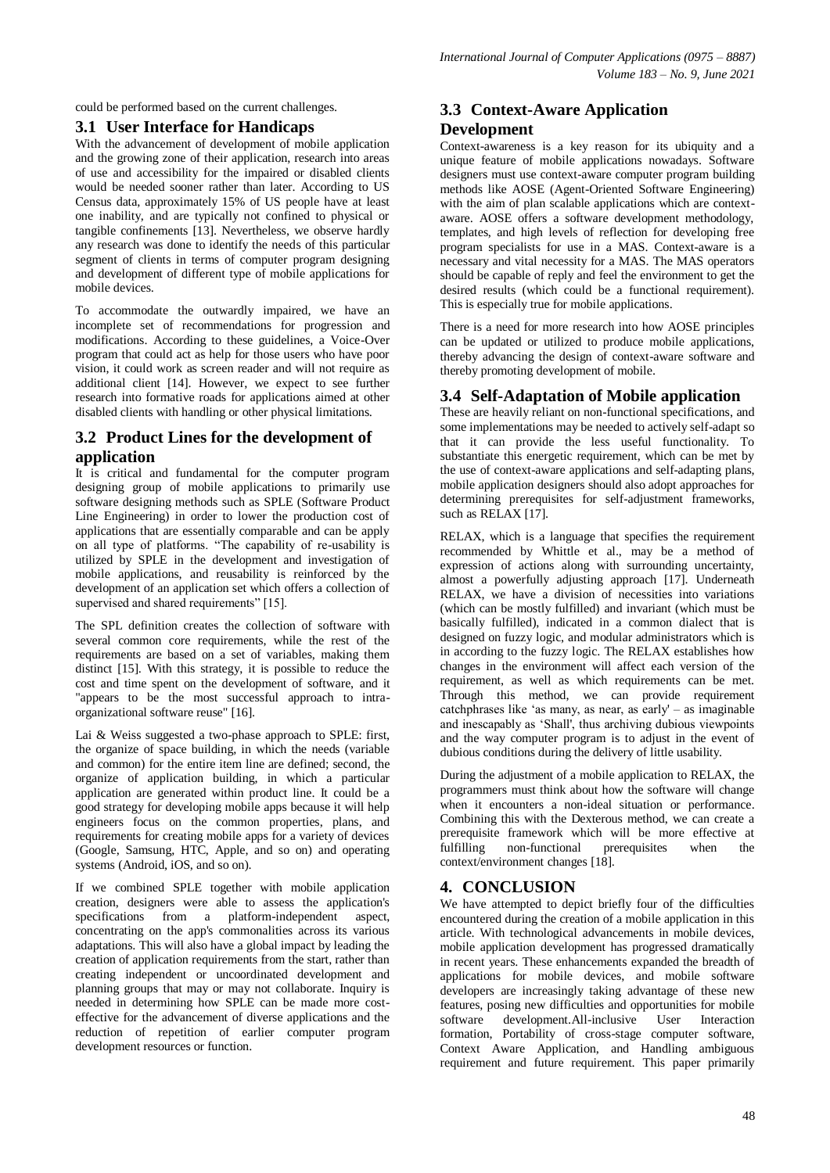could be performed based on the current challenges.

### **3.1 User Interface for Handicaps**

With the advancement of development of mobile application and the growing zone of their application, research into areas of use and accessibility for the impaired or disabled clients would be needed sooner rather than later. According to US Census data, approximately 15% of US people have at least one inability, and are typically not confined to physical or tangible confinements [13]. Nevertheless, we observe hardly any research was done to identify the needs of this particular segment of clients in terms of computer program designing and development of different type of mobile applications for mobile devices.

To accommodate the outwardly impaired, we have an incomplete set of recommendations for progression and modifications. According to these guidelines, a Voice-Over program that could act as help for those users who have poor vision, it could work as screen reader and will not require as additional client [14]. However, we expect to see further research into formative roads for applications aimed at other disabled clients with handling or other physical limitations.

## **3.2 Product Lines for the development of application**

It is critical and fundamental for the computer program designing group of mobile applications to primarily use software designing methods such as SPLE (Software Product Line Engineering) in order to lower the production cost of applications that are essentially comparable and can be apply on all type of platforms. "The capability of re-usability is utilized by SPLE in the development and investigation of mobile applications, and reusability is reinforced by the development of an application set which offers a collection of supervised and shared requirements" [15].

The SPL definition creates the collection of software with several common core requirements, while the rest of the requirements are based on a set of variables, making them distinct [15]. With this strategy, it is possible to reduce the cost and time spent on the development of software, and it "appears to be the most successful approach to intraorganizational software reuse" [16].

Lai & Weiss suggested a two-phase approach to SPLE: first, the organize of space building, in which the needs (variable and common) for the entire item line are defined; second, the organize of application building, in which a particular application are generated within product line. It could be a good strategy for developing mobile apps because it will help engineers focus on the common properties, plans, and requirements for creating mobile apps for a variety of devices (Google, Samsung, HTC, Apple, and so on) and operating systems (Android, iOS, and so on).

If we combined SPLE together with mobile application creation, designers were able to assess the application's specifications from a platform-independent aspect, concentrating on the app's commonalities across its various adaptations. This will also have a global impact by leading the creation of application requirements from the start, rather than creating independent or uncoordinated development and planning groups that may or may not collaborate. Inquiry is needed in determining how SPLE can be made more costeffective for the advancement of diverse applications and the reduction of repetition of earlier computer program development resources or function.

## **3.3 Context-Aware Application Development**

Context-awareness is a key reason for its ubiquity and a unique feature of mobile applications nowadays. Software designers must use context-aware computer program building methods like AOSE (Agent-Oriented Software Engineering) with the aim of plan scalable applications which are contextaware. AOSE offers a software development methodology, templates, and high levels of reflection for developing free program specialists for use in a MAS. Context-aware is a necessary and vital necessity for a MAS. The MAS operators should be capable of reply and feel the environment to get the desired results (which could be a functional requirement). This is especially true for mobile applications.

There is a need for more research into how AOSE principles can be updated or utilized to produce mobile applications, thereby advancing the design of context-aware software and thereby promoting development of mobile.

## **3.4 Self-Adaptation of Mobile application**

These are heavily reliant on non-functional specifications, and some implementations may be needed to actively self-adapt so that it can provide the less useful functionality. To substantiate this energetic requirement, which can be met by the use of context-aware applications and self-adapting plans, mobile application designers should also adopt approaches for determining prerequisites for self-adjustment frameworks, such as  $RELAX$  [17].

RELAX, which is a language that specifies the requirement recommended by Whittle et al., may be a method of expression of actions along with surrounding uncertainty, almost a powerfully adjusting approach [17]. Underneath RELAX, we have a division of necessities into variations (which can be mostly fulfilled) and invariant (which must be basically fulfilled), indicated in a common dialect that is designed on fuzzy logic, and modular administrators which is in according to the fuzzy logic. The RELAX establishes how changes in the environment will affect each version of the requirement, as well as which requirements can be met. Through this method, we can provide requirement catchphrases like 'as many, as near, as early' – as imaginable and inescapably as 'Shall', thus archiving dubious viewpoints and the way computer program is to adjust in the event of dubious conditions during the delivery of little usability.

During the adjustment of a mobile application to RELAX, the programmers must think about how the software will change when it encounters a non-ideal situation or performance. Combining this with the Dexterous method, we can create a prerequisite framework which will be more effective at fulfilling non-functional prerequisites when the context/environment changes [18].

## **4. CONCLUSION**

We have attempted to depict briefly four of the difficulties encountered during the creation of a mobile application in this article. With technological advancements in mobile devices, mobile application development has progressed dramatically in recent years. These enhancements expanded the breadth of applications for mobile devices, and mobile software developers are increasingly taking advantage of these new features, posing new difficulties and opportunities for mobile software development.All-inclusive User Interaction formation, Portability of cross-stage computer software, Context Aware Application, and Handling ambiguous requirement and future requirement. This paper primarily